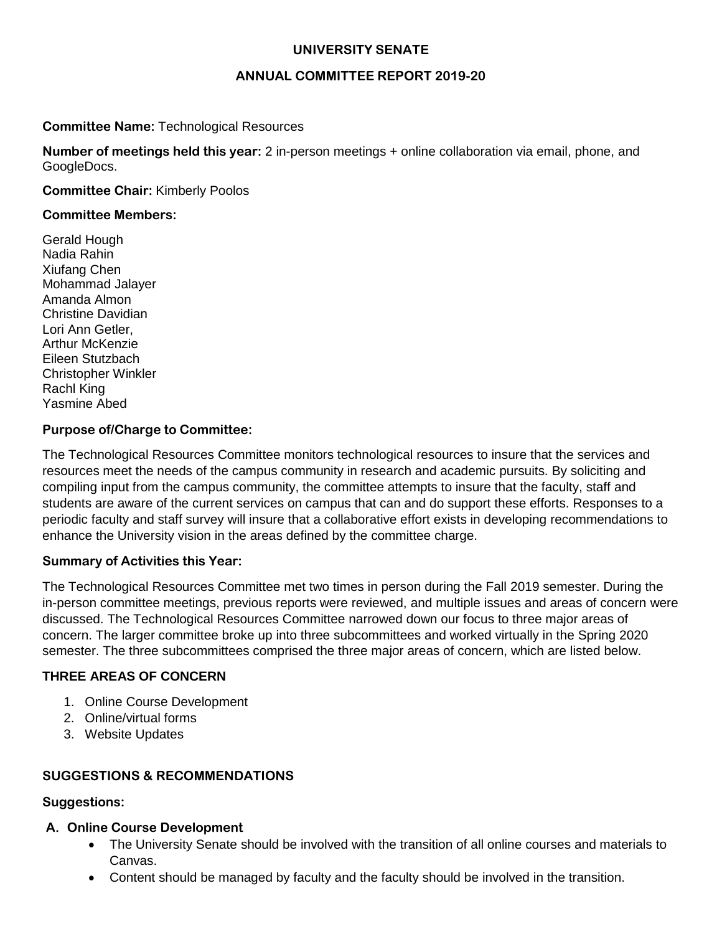### **UNIVERSITY SENATE**

#### **ANNUAL COMMITTEE REPORT 2019-20**

#### **Committee Name:** Technological Resources

**Number of meetings held this year:** 2 in-person meetings + online collaboration via email, phone, and GoogleDocs.

#### **Committee Chair:** Kimberly Poolos

#### **Committee Members:**

Gerald Hough Nadia Rahin Xiufang Chen Mohammad Jalayer Amanda Almon Christine Davidian Lori Ann Getler, Arthur McKenzie Eileen Stutzbach Christopher Winkler Rachl King Yasmine Abed

#### **Purpose of/Charge to Committee:**

The Technological Resources Committee monitors technological resources to insure that the services and resources meet the needs of the campus community in research and academic pursuits. By soliciting and compiling input from the campus community, the committee attempts to insure that the faculty, staff and students are aware of the current services on campus that can and do support these efforts. Responses to a periodic faculty and staff survey will insure that a collaborative effort exists in developing recommendations to enhance the University vision in the areas defined by the committee charge.

#### **Summary of Activities this Year:**

The Technological Resources Committee met two times in person during the Fall 2019 semester. During the in-person committee meetings, previous reports were reviewed, and multiple issues and areas of concern were discussed. The Technological Resources Committee narrowed down our focus to three major areas of concern. The larger committee broke up into three subcommittees and worked virtually in the Spring 2020 semester. The three subcommittees comprised the three major areas of concern, which are listed below.

### **THREE AREAS OF CONCERN**

- 1. Online Course Development
- 2. Online/virtual forms
- 3. Website Updates

#### **SUGGESTIONS & RECOMMENDATIONS**

#### **Suggestions:**

#### **A. Online Course Development**

- The University Senate should be involved with the transition of all online courses and materials to Canvas.
- Content should be managed by faculty and the faculty should be involved in the transition.